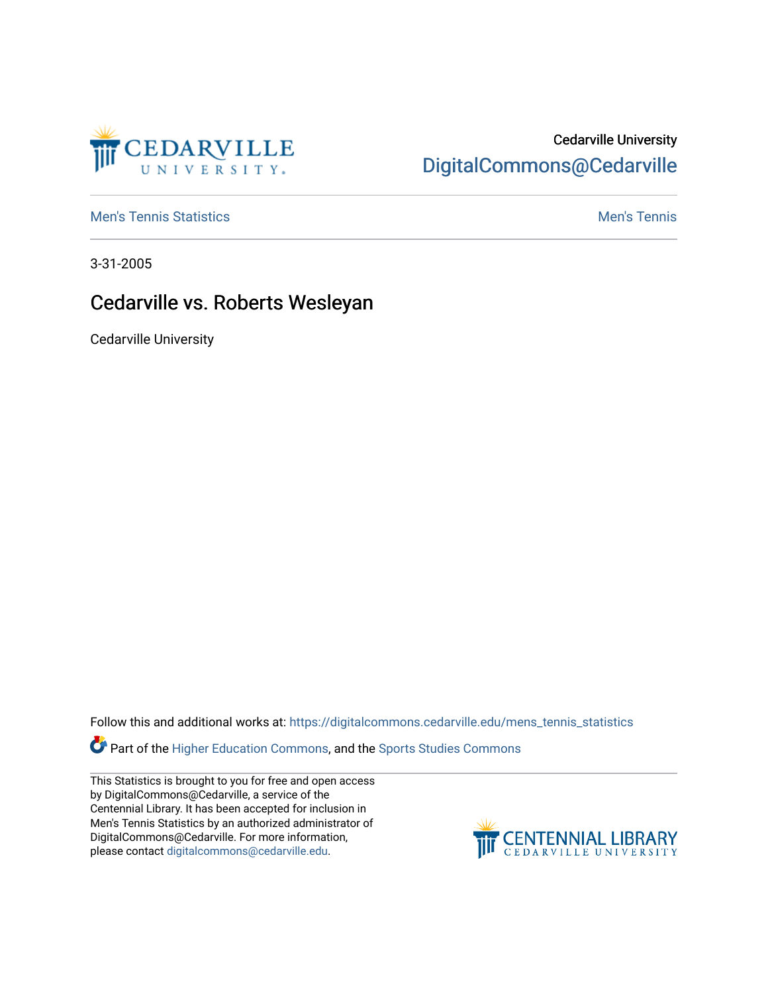

## Cedarville University [DigitalCommons@Cedarville](https://digitalcommons.cedarville.edu/)

**[Men's Tennis Statistics](https://digitalcommons.cedarville.edu/mens_tennis_statistics) Mental According to the Control of Control According Mental Men's Tennis** 

3-31-2005

## Cedarville vs. Roberts Wesleyan

Cedarville University

Follow this and additional works at: [https://digitalcommons.cedarville.edu/mens\\_tennis\\_statistics](https://digitalcommons.cedarville.edu/mens_tennis_statistics?utm_source=digitalcommons.cedarville.edu%2Fmens_tennis_statistics%2F617&utm_medium=PDF&utm_campaign=PDFCoverPages)

Part of the [Higher Education Commons,](http://network.bepress.com/hgg/discipline/1245?utm_source=digitalcommons.cedarville.edu%2Fmens_tennis_statistics%2F617&utm_medium=PDF&utm_campaign=PDFCoverPages) and the Sports Studies Commons

This Statistics is brought to you for free and open access by DigitalCommons@Cedarville, a service of the Centennial Library. It has been accepted for inclusion in Men's Tennis Statistics by an authorized administrator of DigitalCommons@Cedarville. For more information, please contact [digitalcommons@cedarville.edu](mailto:digitalcommons@cedarville.edu).